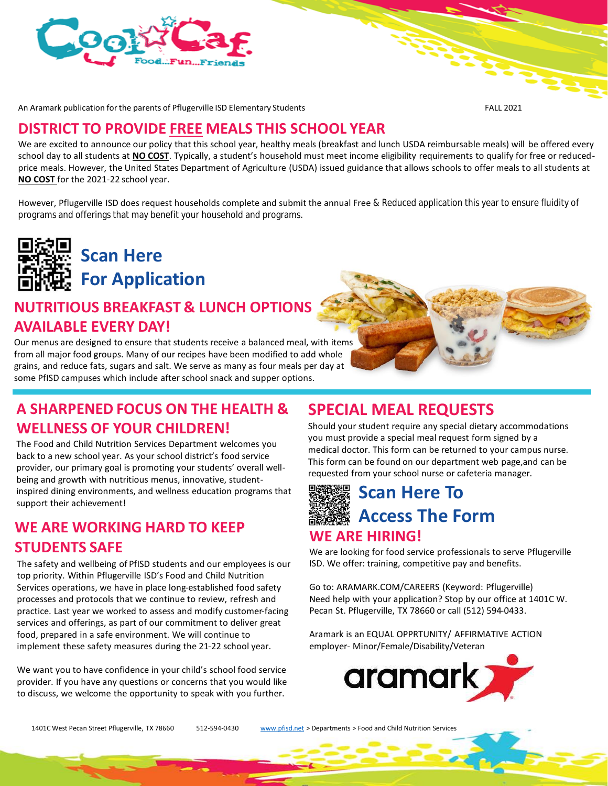

An Aramark publication for the parents of Pflugerville ISD Elementary Students FALL 2021

#### **DISTRICT TO PROVIDE FREE MEALS THIS SCHOOL YEAR**

We are excited to announce our policy that this school year, healthy meals (breakfast and lunch USDA reimbursable meals) will be offered every school day to all students at **NO COST**. Typically, a student's household must meet income eligibility requirements to qualify for free or reducedprice meals. However, the United States Department of Agriculture (USDA) issued guidance that allows schools to offer meals to all students at **NO COST** for the 2021-22 school year.

However, Pflugerville ISD does request households complete and submit the annual Free & Reduced application this year to ensure fluidity of programs and offerings that may benefit your household and programs.



**Scan Here For Application** 

# **NUTRITIOUS BREAKFAST & LUNCH OPTIONS AVAILABLE EVERY DAY!**

Our menus are designed to ensure that students receive a balanced meal, with items from all major food groups. Many of our recipes have been modified to add whole grains, and reduce fats, sugars and salt. We serve as many as four meals per day at some PfISD campuses which include after school snack and supper options.

### **A SHARPENED FOCUS ON THE HEALTH & WELLNESS OF YOUR CHILDREN!**

The Food and Child Nutrition Services Department welcomes you back to a new school year. As your school district's food service provider, our primary goal is promoting your students' overall wellbeing and growth with nutritious menus, innovative, studentinspired dining environments, and wellness education programs that support their achievement!

### **WE ARE WORKING HARD TO KEEP STUDENTS SAFE**

The safety and wellbeing of PfISD students and our employees is our top priority. Within Pflugerville ISD's Food and Child Nutrition Services operations, we have in place long-established food safety processes and protocols that we continue to review, refresh and practice. Last year we worked to assess and modify customer-facing services and offerings, as part of our commitment to deliver great food, prepared in a safe environment. We will continue to implement these safety measures during the 21-22 school year.

We want you to have confidence in your child's school food service provider. If you have any questions or concerns that you would like to discuss, we welcome the opportunity to speak with you further.

## **SPECIAL MEAL REQUESTS**

Should your student require any special dietary accommodations you must provide a special meal request form signed by a medical doctor. This form can be returned to your campus nurse. This form can be found on our department web page,and can be requested from your school nurse or cafeteria manager.



We are looking for food service professionals to serve Pflugerville ISD. We offer: training, competitive pay and benefits.

Go to: ARAMARK.COM/CAREERS (Keyword: Pflugerville) Need help with your application? Stop by our office at 1401C W. Pecan St. Pflugerville, TX 78660 or call (512) 594-0433.

Aramark is an EQUAL OPPRTUNITY/ AFFIRMATIVE ACTION employer- Minor/Female/Disability/Veteran



1401C West Pecan Street Pflugerville, TX 78660 512-594-0430 [www.pfisd.net](http://www.pfisd.net/) > Departments > Food and Child Nutrition Services